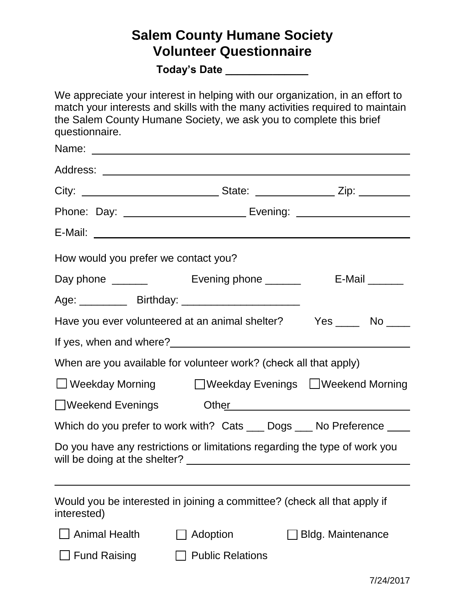## **Salem County Humane Society Volunteer Questionnaire**

**Today's Date \_\_\_\_\_\_\_\_\_\_\_\_\_\_**

We appreciate your interest in helping with our organization, in an effort to match your interests and skills with the many activities required to maintain the Salem County Humane Society, we ask you to complete this brief questionnaire.

|                                                                       | Phone: Day: _________________________________ Evening: _________________________                                                                                                                                              |                          |  |  |  |  |
|-----------------------------------------------------------------------|-------------------------------------------------------------------------------------------------------------------------------------------------------------------------------------------------------------------------------|--------------------------|--|--|--|--|
|                                                                       |                                                                                                                                                                                                                               |                          |  |  |  |  |
| How would you prefer we contact you?                                  |                                                                                                                                                                                                                               |                          |  |  |  |  |
|                                                                       |                                                                                                                                                                                                                               |                          |  |  |  |  |
|                                                                       |                                                                                                                                                                                                                               |                          |  |  |  |  |
|                                                                       | Have you ever volunteered at an animal shelter? Yes _____ No ____                                                                                                                                                             |                          |  |  |  |  |
|                                                                       |                                                                                                                                                                                                                               |                          |  |  |  |  |
|                                                                       | When are you available for volunteer work? (check all that apply)                                                                                                                                                             |                          |  |  |  |  |
|                                                                       | □ Weekday Morning    □ Weekday Evenings □ Weekend Morning                                                                                                                                                                     |                          |  |  |  |  |
|                                                                       | □Weekend Evenings Other Christian Museum Communication Other Christian Museum Communication Museum Communication Museum Communication Museum Communication Museum Communication Museum Communication Museum Communication Mus |                          |  |  |  |  |
| Which do you prefer to work with? Cats ___ Dogs ___ No Preference ___ |                                                                                                                                                                                                                               |                          |  |  |  |  |
|                                                                       | Do you have any restrictions or limitations regarding the type of work you                                                                                                                                                    |                          |  |  |  |  |
|                                                                       |                                                                                                                                                                                                                               |                          |  |  |  |  |
| interested)                                                           | Would you be interested in joining a committee? (check all that apply if                                                                                                                                                      |                          |  |  |  |  |
| <b>Animal Health</b>                                                  | Adoption                                                                                                                                                                                                                      | <b>Bldg. Maintenance</b> |  |  |  |  |
| <b>Fund Raising</b>                                                   | <b>Public Relations</b>                                                                                                                                                                                                       |                          |  |  |  |  |